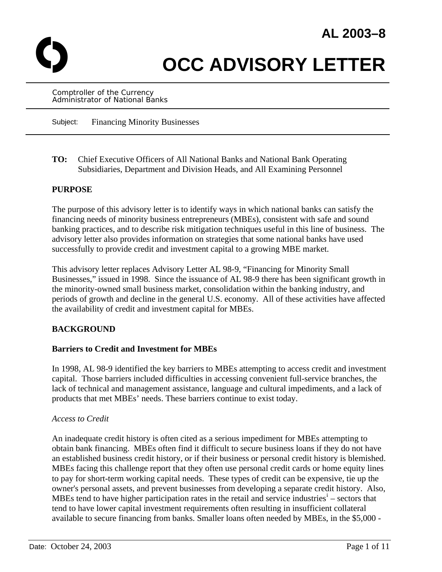

# **OCC ADVISORY LETTER**

Comptroller of the Currency Administrator of National Banks

Subject: Financing Minority Businesses

**TO:** Chief Executive Officers of All National Banks and National Bank Operating Subsidiaries, Department and Division Heads, and All Examining Personnel

#### **PURPOSE**

The purpose of this advisory letter is to identify ways in which national banks can satisfy the financing needs of minority business entrepreneurs (MBEs), consistent with safe and sound banking practices, and to describe risk mitigation techniques useful in this line of business. The advisory letter also provides information on strategies that some national banks have used successfully to provide credit and investment capital to a growing MBE market.

This advisory letter replaces Advisory Letter AL 98-9, "Financing for Minority Small Businesses," issued in 1998. Since the issuance of AL 98-9 there has been significant growth in the minority-owned small business market, consolidation within the banking industry, and periods of growth and decline in the general U.S. economy. All of these activities have affected the availability of credit and investment capital for MBEs.

## **BACKGROUND**

#### **Barriers to Credit and Investment for MBEs**

In 1998, AL 98-9 identified the key barriers to MBEs attempting to access credit and investment capital. Those barriers included difficulties in accessing convenient full-service branches, the lack of technical and management assistance, language and cultural impediments, and a lack of products that met MBEs' needs. These barriers continue to exist today.

#### *Access to Credit*

An inadequate credit history is often cited as a serious impediment for MBEs attempting to obtain bank financing. MBEs often find it difficult to secure business loans if they do not have an established business credit history, or if their business or personal credit history is blemished. MBEs facing this challenge report that they often use personal credit cards or home equity lines to pay for short-term working capital needs. These types of credit can be expensive, tie up the owner's personal assets, and prevent businesses from developing a separate credit history. Also, MBEs tend to have h[i](#page-10-0)gher participation rates in the retail and service industries<sup> $\text{i}$ </sup> – sectors that tend to have lower capital investment requirements often resulting in insufficient collateral available to secure financing from banks. Smaller loans often needed by MBEs, in the \$5,000 -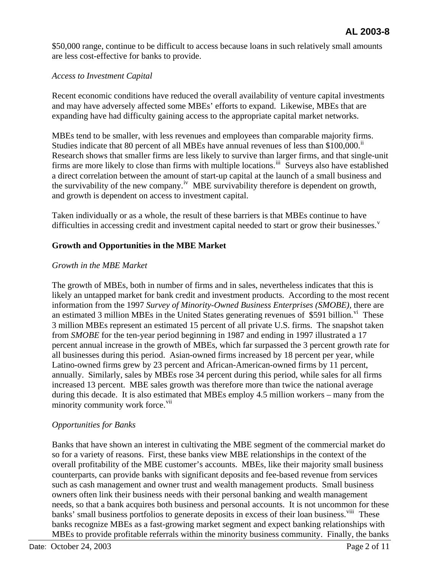\$50,000 range, continue to be difficult to access because loans in such relatively small amounts are less cost-effective for banks to provide.

#### *Access to Investment Capital*

Recent economic conditions have reduced the overall availability of venture capital investments and may have adversely affected some MBEs' efforts to expand. Likewise, MBEs that are expanding have had difficulty gaining access to the appropriate capital market networks.

MBEs tend to be smaller, with less revenues and employees than comparable majority firms. Studies indicate that 80 percent of all MBEs have annual revenues of less than \$100,000.<sup>[ii](#page-10-1)</sup> Research shows that smaller firms are less likely to survive than larger firms, and that single-unit firms are more likely to close than firms with multiple locations.<sup>[iii](#page-10-2)</sup> Surveys also have established a direct correlation between the amount of start-up capital at the launch of a small business and the surv[iv](#page-10-3)ability of the new company.<sup>iv</sup> MBE survivability therefore is dependent on growth, and growth is dependent on access to investment capital.

Taken individually or as a whole, the result of these barriers is that MBEs continue to have difficulties in accessing credit and in[v](#page-10-4)estment capital needed to start or grow their businesses. $v$ 

## **Growth and Opportunities in the MBE Market**

#### *Growth in the MBE Market*

The growth of MBEs, both in number of firms and in sales, nevertheless indicates that this is likely an untapped market for bank credit and investment products. According to the most recent information from the 1997 *Survey of Minority-Owned Business Enterprises (SMOBE),* there are an estimated 3 million MBEs in the United States generating revenues of \$591 billion. $\overline{v}$  These 3 million MBEs represent an estimated 15 percent of all private U.S. firms. The snapshot taken from *SMOBE* for the ten-year period beginning in 1987 and ending in 1997 illustrated a 17 percent annual increase in the growth of MBEs, which far surpassed the 3 percent growth rate for all businesses during this period. Asian-owned firms increased by 18 percent per year, while Latino-owned firms grew by 23 percent and African-American-owned firms by 11 percent, annually. Similarly, sales by MBEs rose 34 percent during this period, while sales for all firms increased 13 percent. MBE sales growth was therefore more than twice the national average during this decade. It is also estimated that MBEs employ 4.5 million workers – many from the minority community work force.<sup>[vii](#page-10-6)</sup>

## *Opportunities for Banks*

Banks that have shown an interest in cultivating the MBE segment of the commercial market do so for a variety of reasons. First, these banks view MBE relationships in the context of the overall profitability of the MBE customer's accounts. MBEs, like their majority small business counterparts, can provide banks with significant deposits and fee-based revenue from services such as cash management and owner trust and wealth management products. Small business owners often link their business needs with their personal banking and wealth management needs, so that a bank acquires both business and personal accounts. It is not uncommon for these banks' small business portfolios to generate deposits in excess of their loan business.<sup>[viii](#page-10-7)</sup> These banks recognize MBEs as a fast-growing market segment and expect banking relationships with MBEs to provide profitable referrals within the minority business community. Finally, the banks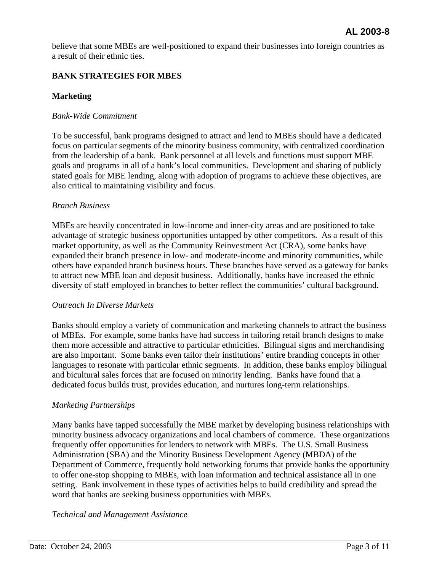believe that some MBEs are well-positioned to expand their businesses into foreign countries as a result of their ethnic ties.

## **BANK STRATEGIES FOR MBES**

## **Marketing**

#### *Bank-Wide Commitment*

To be successful, bank programs designed to attract and lend to MBEs should have a dedicated focus on particular segments of the minority business community, with centralized coordination from the leadership of a bank. Bank personnel at all levels and functions must support MBE goals and programs in all of a bank's local communities. Development and sharing of publicly stated goals for MBE lending, along with adoption of programs to achieve these objectives, are also critical to maintaining visibility and focus.

#### *Branch Business*

MBEs are heavily concentrated in low-income and inner-city areas and are positioned to take advantage of strategic business opportunities untapped by other competitors. As a result of this market opportunity, as well as the Community Reinvestment Act (CRA), some banks have expanded their branch presence in low- and moderate-income and minority communities, while others have expanded branch business hours. These branches have served as a gateway for banks to attract new MBE loan and deposit business. Additionally, banks have increased the ethnic diversity of staff employed in branches to better reflect the communities' cultural background.

#### *Outreach In Diverse Markets*

Banks should employ a variety of communication and marketing channels to attract the business of MBEs. For example, some banks have had success in tailoring retail branch designs to make them more accessible and attractive to particular ethnicities. Bilingual signs and merchandising are also important. Some banks even tailor their institutions' entire branding concepts in other languages to resonate with particular ethnic segments. In addition, these banks employ bilingual and bicultural sales forces that are focused on minority lending. Banks have found that a dedicated focus builds trust, provides education, and nurtures long-term relationships.

## *Marketing Partnerships*

Many banks have tapped successfully the MBE market by developing business relationships with minority business advocacy organizations and local chambers of commerce. These organizations frequently offer opportunities for lenders to network with MBEs. The U.S. Small Business Administration (SBA) and the Minority Business Development Agency (MBDA) of the Department of Commerce, frequently hold networking forums that provide banks the opportunity to offer one-stop shopping to MBEs, with loan information and technical assistance all in one setting. Bank involvement in these types of activities helps to build credibility and spread the word that banks are seeking business opportunities with MBEs.

*Technical and Management Assistance*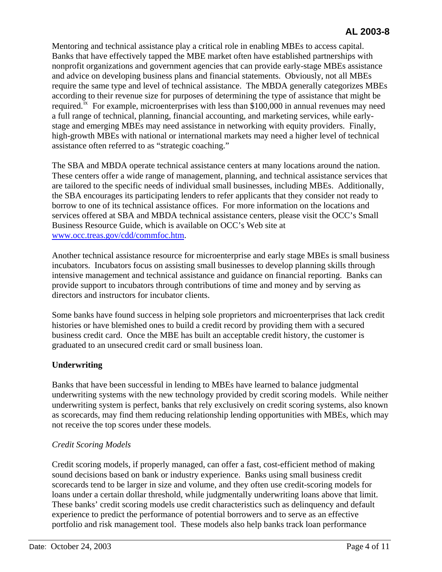Mentoring and technical assistance play a critical role in enabling MBEs to access capital. Banks that have effectively tapped the MBE market often have established partnerships with nonprofit organizations and government agencies that can provide early-stage MBEs assistance and advice on developing business plans and financial statements. Obviously, not all MBEs require the same type and level of technical assistance. The MBDA generally categorizes MBEs according to their revenue size for purposes of determining the type of assistance that might be required.<sup>[ix](#page-10-8)</sup> For example, microenterprises with less than \$100,000 in annual revenues may need a full range of technical, planning, financial accounting, and marketing services, while earlystage and emerging MBEs may need assistance in networking with equity providers. Finally, high-growth MBEs with national or international markets may need a higher level of technical assistance often referred to as "strategic coaching."

The SBA and MBDA operate technical assistance centers at many locations around the nation. These centers offer a wide range of management, planning, and technical assistance services that are tailored to the specific needs of individual small businesses, including MBEs. Additionally, the SBA encourages its participating lenders to refer applicants that they consider not ready to borrow to one of its technical assistance offices. For more information on the locations and services offered at SBA and MBDA technical assistance centers, please visit the OCC's Small Business Resource Guide, which is available on OCC's Web site at [www.occ.treas.gov/cdd/commfoc.htm.](http://www.occ.gov/topics/community-affairs/index-community-affairs.html)

Another technical assistance resource for microenterprise and early stage MBEs is small business incubators. Incubators focus on assisting small businesses to develop planning skills through intensive management and technical assistance and guidance on financial reporting. Banks can provide support to incubators through contributions of time and money and by serving as directors and instructors for incubator clients.

Some banks have found success in helping sole proprietors and microenterprises that lack credit histories or have blemished ones to build a credit record by providing them with a secured business credit card. Once the MBE has built an acceptable credit history, the customer is graduated to an unsecured credit card or small business loan.

# **Underwriting**

Banks that have been successful in lending to MBEs have learned to balance judgmental underwriting systems with the new technology provided by credit scoring models. While neither underwriting system is perfect, banks that rely exclusively on credit scoring systems, also known as scorecards, may find them reducing relationship lending opportunities with MBEs, which may not receive the top scores under these models.

## *Credit Scoring Models*

Credit scoring models, if properly managed, can offer a fast, cost-efficient method of making sound decisions based on bank or industry experience. Banks using small business credit scorecards tend to be larger in size and volume, and they often use credit-scoring models for loans under a certain dollar threshold, while judgmentally underwriting loans above that limit. These banks' credit scoring models use credit characteristics such as delinquency and default experience to predict the performance of potential borrowers and to serve as an effective portfolio and risk management tool. These models also help banks track loan performance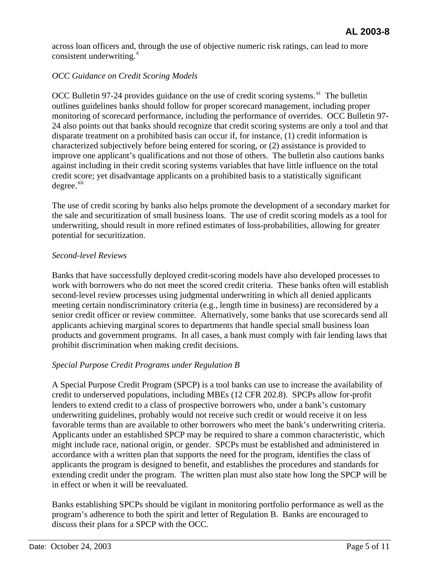across loan officers and, through the use of objective numeric risk ratings, can lead to more consistent underwriting. $^x$  $^x$ 

## *OCC Guidance on Credit Scoring Models*

OCC Bulletin 97-24 provides guidance on the use of credit scoring systems.<sup>[xi](#page-10-10)</sup> The bulletin outlines guidelines banks should follow for proper scorecard management, including proper monitoring of scorecard performance, including the performance of overrides. OCC Bulletin 97- 24 also points out that banks should recognize that credit scoring systems are only a tool and that disparate treatment on a prohibited basis can occur if, for instance, (1) credit information is characterized subjectively before being entered for scoring, or (2) assistance is provided to improve one applicant's qualifications and not those of others. The bulletin also cautions banks against including in their credit scoring systems variables that have little influence on the total credit score; yet disadvantage applicants on a prohibited basis to a statistically significant  $degree.$ <sup>[xii](#page-10-11)</sup>

The use of credit scoring by banks also helps promote the development of a secondary market for the sale and securitization of small business loans. The use of credit scoring models as a tool for underwriting, should result in more refined estimates of loss-probabilities, allowing for greater potential for securitization.

#### *Second-level Reviews*

Banks that have successfully deployed credit-scoring models have also developed processes to work with borrowers who do not meet the scored credit criteria. These banks often will establish second-level review processes using judgmental underwriting in which all denied applicants meeting certain nondiscriminatory criteria (e.g., length time in business) are reconsidered by a senior credit officer or review committee. Alternatively, some banks that use scorecards send all applicants achieving marginal scores to departments that handle special small business loan products and government programs. In all cases, a bank must comply with fair lending laws that prohibit discrimination when making credit decisions.

## *Special Purpose Credit Programs under Regulation B*

A Special Purpose Credit Program (SPCP) is a tool banks can use to increase the availability of credit to underserved populations, including MBEs (12 CFR 202.8). SPCPs allow for-profit lenders to extend credit to a class of prospective borrowers who, under a bank's customary underwriting guidelines, probably would not receive such credit or would receive it on less favorable terms than are available to other borrowers who meet the bank's underwriting criteria. Applicants under an established SPCP may be required to share a common characteristic, which might include race, national origin, or gender. SPCPs must be established and administered in accordance with a written plan that supports the need for the program, identifies the class of applicants the program is designed to benefit, and establishes the procedures and standards for extending credit under the program. The written plan must also state how long the SPCP will be in effect or when it will be reevaluated.

Banks establishing SPCPs should be vigilant in monitoring portfolio performance as well as the program's adherence to both the spirit and letter of Regulation B. Banks are encouraged to discuss their plans for a SPCP with the OCC.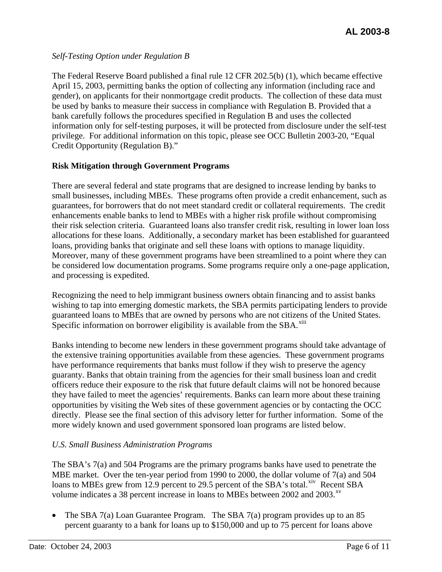## *Self-Testing Option under Regulation B*

The Federal Reserve Board published a final rule 12 CFR 202.5(b) (1), which became effective April 15, 2003, permitting banks the option of collecting any information (including race and gender), on applicants for their nonmortgage credit products. The collection of these data must be used by banks to measure their success in compliance with Regulation B. Provided that a bank carefully follows the procedures specified in Regulation B and uses the collected information only for self-testing purposes, it will be protected from disclosure under the self-test privilege. For additional information on this topic, please see OCC Bulletin 2003-20, "Equal Credit Opportunity (Regulation B)."

## **Risk Mitigation through Government Programs**

There are several federal and state programs that are designed to increase lending by banks to small businesses, including MBEs. These programs often provide a credit enhancement, such as guarantees, for borrowers that do not meet standard credit or collateral requirements. The credit enhancements enable banks to lend to MBEs with a higher risk profile without compromising their risk selection criteria. Guaranteed loans also transfer credit risk, resulting in lower loan loss allocations for these loans. Additionally, a secondary market has been established for guaranteed loans, providing banks that originate and sell these loans with options to manage liquidity. Moreover, many of these government programs have been streamlined to a point where they can be considered low documentation programs. Some programs require only a one-page application, and processing is expedited.

Recognizing the need to help immigrant business owners obtain financing and to assist banks wishing to tap into emerging domestic markets, the SBA permits participating lenders to provide guaranteed loans to MBEs that are owned by persons who are not citizens of the United States. Specific information on borrower eligibility is available from the SBA.<sup>[xiii](#page-10-12)</sup>

Banks intending to become new lenders in these government programs should take advantage of the extensive training opportunities available from these agencies. These government programs have performance requirements that banks must follow if they wish to preserve the agency guaranty. Banks that obtain training from the agencies for their small business loan and credit officers reduce their exposure to the risk that future default claims will not be honored because they have failed to meet the agencies' requirements. Banks can learn more about these training opportunities by visiting the Web sites of these government agencies or by contacting the OCC directly. Please see the final section of this advisory letter for further information. Some of the more widely known and used government sponsored loan programs are listed below.

# *U.S. Small Business Administration Programs*

The SBA's 7(a) and 504 Programs are the primary programs banks have used to penetrate the MBE market. Over the ten-year period from 1990 to 2000, the dollar volume of 7(a) and 504 loans to MBEs grew from 12.9 percent to 29.5 percent of the SBA's total. $x^i$  Recent SBA volume indicates a 38 percent increase in loans to MBEs between 2002 and 2003. $^{xy}$ 

• The SBA 7(a) Loan Guarantee Program. The SBA 7(a) program provides up to an 85 percent guaranty to a bank for loans up to \$150,000 and up to 75 percent for loans above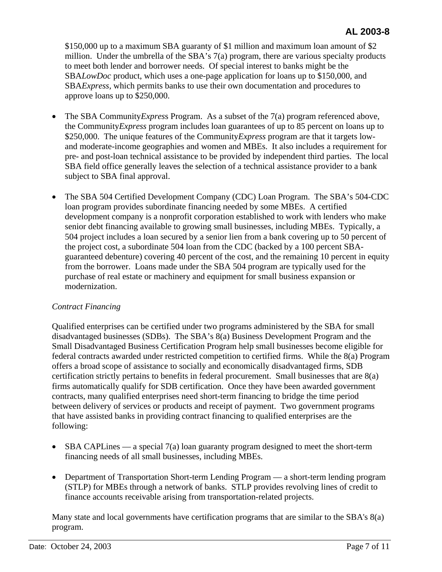\$150,000 up to a maximum SBA guaranty of \$1 million and maximum loan amount of \$2 million. Under the umbrella of the SBA's 7(a) program, there are various specialty products to meet both lender and borrower needs. Of special interest to banks might be the SBA*LowDoc* product, which uses a one-page application for loans up to \$150,000, and SBA*Express,* which permits banks to use their own documentation and procedures to approve loans up to \$250,000.

- The SBA Community*Expres*s Program. As a subset of the 7(a) program referenced above, the Community*Express* program includes loan guarantees of up to 85 percent on loans up to \$250,000. The unique features of the Community*Express* program are that it targets lowand moderate-income geographies and women and MBEs. It also includes a requirement for pre- and post-loan technical assistance to be provided by independent third parties. The local SBA field office generally leaves the selection of a technical assistance provider to a bank subject to SBA final approval.
- The SBA 504 Certified Development Company (CDC) Loan Program. The SBA's 504-CDC loan program provides subordinate financing needed by some MBEs. A certified development company is a nonprofit corporation established to work with lenders who make senior debt financing available to growing small businesses, including MBEs. Typically, a 504 project includes a loan secured by a senior lien from a bank covering up to 50 percent of the project cost, a subordinate 504 loan from the CDC (backed by a 100 percent SBAguaranteed debenture) covering 40 percent of the cost, and the remaining 10 percent in equity from the borrower. Loans made under the SBA 504 program are typically used for the purchase of real estate or machinery and equipment for small business expansion or modernization.

## *Contract Financing*

Qualified enterprises can be certified under two programs administered by the SBA for small disadvantaged businesses (SDBs). The SBA's 8(a) Business Development Program and the Small Disadvantaged Business Certification Program help small businesses become eligible for federal contracts awarded under restricted competition to certified firms. While the 8(a) Program offers a broad scope of assistance to socially and economically disadvantaged firms, SDB certification strictly pertains to benefits in federal procurement. Small businesses that are 8(a) firms automatically qualify for SDB certification. Once they have been awarded government contracts, many qualified enterprises need short-term financing to bridge the time period between delivery of services or products and receipt of payment. Two government programs that have assisted banks in providing contract financing to qualified enterprises are the following:

- SBA CAPLines a special 7(a) loan guaranty program designed to meet the short-term financing needs of all small businesses, including MBEs.
- Department of Transportation Short-term Lending Program a short-term lending program (STLP) for MBEs through a network of banks. STLP provides revolving lines of credit to finance accounts receivable arising from transportation-related projects.

Many state and local governments have certification programs that are similar to the SBA's 8(a) program.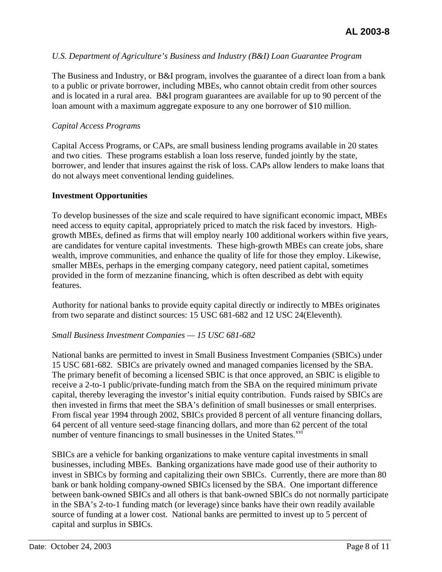#### *U.S. Department of Agriculture's Business and Industry (B&I) Loan Guarantee Program*

The Business and Industry, or B&I program, involves the guarantee of a direct loan from a bank to a public or private borrower, including MBEs, who cannot obtain credit from other sources and is located in a rural area. B&I program guarantees are available for up to 90 percent of the loan amount with a maximum aggregate exposure to any one borrower of \$10 million.

#### *Capital Access Programs*

Capital Access Programs, or CAPs, are small business lending programs available in 20 states and two cities. These programs establish a loan loss reserve, funded jointly by the state, borrower, and lender that insures against the risk of loss. CAPs allow lenders to make loans that do not always meet conventional lending guidelines.

#### **Investment Opportunities**

To develop businesses of the size and scale required to have significant economic impact, MBEs need access to equity capital, appropriately priced to match the risk faced by investors. Highgrowth MBEs, defined as firms that will employ nearly 100 additional workers within five years, are candidates for venture capital investments. These high-growth MBEs can create jobs, share wealth, improve communities, and enhance the quality of life for those they employ. Likewise, smaller MBEs, perhaps in the emerging company category, need patient capital, sometimes provided in the form of mezzanine financing, which is often described as debt with equity features.

Authority for national banks to provide equity capital directly or indirectly to MBEs originates from two separate and distinct sources: 15 USC 681-682 and 12 USC 24(Eleventh).

#### *Small Business Investment Companies — 15 USC 681-682*

National banks are permitted to invest in Small Business Investment Companies (SBICs) under 15 USC 681-682. SBICs are privately owned and managed companies licensed by the SBA. The primary benefit of becoming a licensed SBIC is that once approved, an SBIC is eligible to receive a 2-to-1 public/private-funding match from the SBA on the required minimum private capital, thereby leveraging the investor's initial equity contribution. Funds raised by SBICs are then invested in firms that meet the SBA's definition of small businesses or small enterprises. From fiscal year 1994 through 2002, SBICs provided 8 percent of all venture financing dollars, 64 percent of all venture seed-stage financing dollars, and more than 62 percent of the total number of venture financings to small businesses in the United States.<sup>[xvi](#page-10-15)</sup>

SBICs are a vehicle for banking organizations to make venture capital investments in small businesses, including MBEs. Banking organizations have made good use of their authority to invest in SBICs by forming and capitalizing their own SBICs. Currently, there are more than 80 bank or bank holding company-owned SBICs licensed by the SBA. One important difference between bank-owned SBICs and all others is that bank-owned SBICs do not normally participate in the SBA's 2-to-1 funding match (or leverage) since banks have their own readily available source of funding at a lower cost. National banks are permitted to invest up to 5 percent of capital and surplus in SBICs.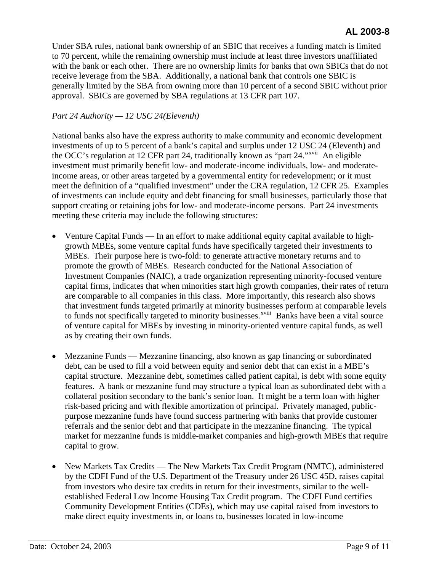Under SBA rules, national bank ownership of an SBIC that receives a funding match is limited to 70 percent, while the remaining ownership must include at least three investors unaffiliated with the bank or each other. There are no ownership limits for banks that own SBICs that do not receive leverage from the SBA. Additionally, a national bank that controls one SBIC is generally limited by the SBA from owning more than 10 percent of a second SBIC without prior approval. SBICs are governed by SBA regulations at 13 CFR part 107.

## *Part 24 Authority — 12 USC 24(Eleventh)*

National banks also have the express authority to make community and economic development investments of up to 5 percent of a bank's capital and surplus under 12 USC 24 (Eleventh) and the OCC's regulation at 12 CFR part 24, traditionally known as "part 24."<sup>[xvii](#page-10-16)</sup> An eligible investment must primarily benefit low- and moderate-income individuals, low- and moderateincome areas, or other areas targeted by a governmental entity for redevelopment; or it must meet the definition of a "qualified investment" under the CRA regulation, 12 CFR 25. Examples of investments can include equity and debt financing for small businesses, particularly those that support creating or retaining jobs for low- and moderate-income persons. Part 24 investments meeting these criteria may include the following structures:

- Venture Capital Funds In an effort to make additional equity capital available to highgrowth MBEs, some venture capital funds have specifically targeted their investments to MBEs. Their purpose here is two-fold: to generate attractive monetary returns and to promote the growth of MBEs. Research conducted for the National Association of Investment Companies (NAIC), a trade organization representing minority-focused venture capital firms, indicates that when minorities start high growth companies, their rates of return are comparable to all companies in this class. More importantly, this research also shows that investment funds targeted primarily at minority businesses perform at comparable levels to funds not specifically targeted to minority businesses.<sup>[xviii](#page-10-17)</sup> Banks have been a vital source of venture capital for MBEs by investing in minority-oriented venture capital funds, as well as by creating their own funds.
- Mezzanine Funds Mezzanine financing, also known as gap financing or subordinated debt, can be used to fill a void between equity and senior debt that can exist in a MBE's capital structure. Mezzanine debt, sometimes called patient capital, is debt with some equity features. A bank or mezzanine fund may structure a typical loan as subordinated debt with a collateral position secondary to the bank's senior loan. It might be a term loan with higher risk-based pricing and with flexible amortization of principal. Privately managed, publicpurpose mezzanine funds have found success partnering with banks that provide customer referrals and the senior debt and that participate in the mezzanine financing. The typical market for mezzanine funds is middle-market companies and high-growth MBEs that require capital to grow.
- New Markets Tax Credits The New Markets Tax Credit Program (NMTC), administered by the CDFI Fund of the U.S. Department of the Treasury under 26 USC 45D, raises capital from investors who desire tax credits in return for their investments, similar to the wellestablished Federal Low Income Housing Tax Credit program. The CDFI Fund certifies Community Development Entities (CDEs), which may use capital raised from investors to make direct equity investments in, or loans to, businesses located in low-income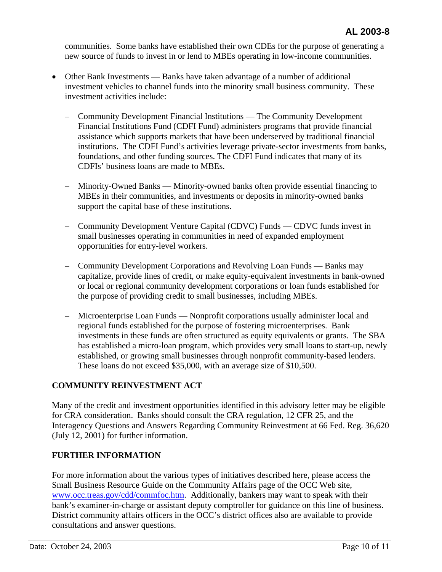communities. Some banks have established their own CDEs for the purpose of generating a new source of funds to invest in or lend to MBEs operating in low-income communities.

- Other Bank Investments Banks have taken advantage of a number of additional investment vehicles to channel funds into the minority small business community. These investment activities include:
	- Community Development Financial Institutions The Community Development Financial Institutions Fund (CDFI Fund) administers programs that provide financial assistance which supports markets that have been underserved by traditional financial institutions. The CDFI Fund's activities leverage private-sector investments from banks, foundations, and other funding sources. The CDFI Fund indicates that many of its CDFIs' business loans are made to MBEs.
	- Minority-Owned Banks Minority-owned banks often provide essential financing to MBEs in their communities, and investments or deposits in minority-owned banks support the capital base of these institutions.
	- Community Development Venture Capital (CDVC) Funds CDVC funds invest in small businesses operating in communities in need of expanded employment opportunities for entry-level workers.
	- Community Development Corporations and Revolving Loan Funds Banks may capitalize, provide lines of credit, or make equity-equivalent investments in bank-owned or local or regional community development corporations or loan funds established for the purpose of providing credit to small businesses, including MBEs.
	- Microenterprise Loan Funds Nonprofit corporations usually administer local and regional funds established for the purpose of fostering microenterprises. Bank investments in these funds are often structured as equity equivalents or grants. The SBA has established a micro-loan program, which provides very small loans to start-up, newly established, or growing small businesses through nonprofit community-based lenders. These loans do not exceed \$35,000, with an average size of \$10,500.

# **COMMUNITY REINVESTMENT ACT**

Many of the credit and investment opportunities identified in this advisory letter may be eligible for CRA consideration. Banks should consult the CRA regulation, 12 CFR 25, and the Interagency Questions and Answers Regarding Community Reinvestment at 66 Fed. Reg. 36,620 (July 12, 2001) for further information.

## **FURTHER INFORMATION**

For more information about the various types of initiatives described here, please access the Small Business Resource Guide on the Community Affairs page of the OCC Web site, [www.occ.treas.gov/cdd/commfoc.htm](http://www.occ.gov/topics/community-affairs/index-community-affairs.html). Additionally, bankers may want to speak with their bank's examiner-in-charge or assistant deputy comptroller for guidance on this line of business. District community affairs officers in the OCC's district offices also are available to provide consultations and answer questions.